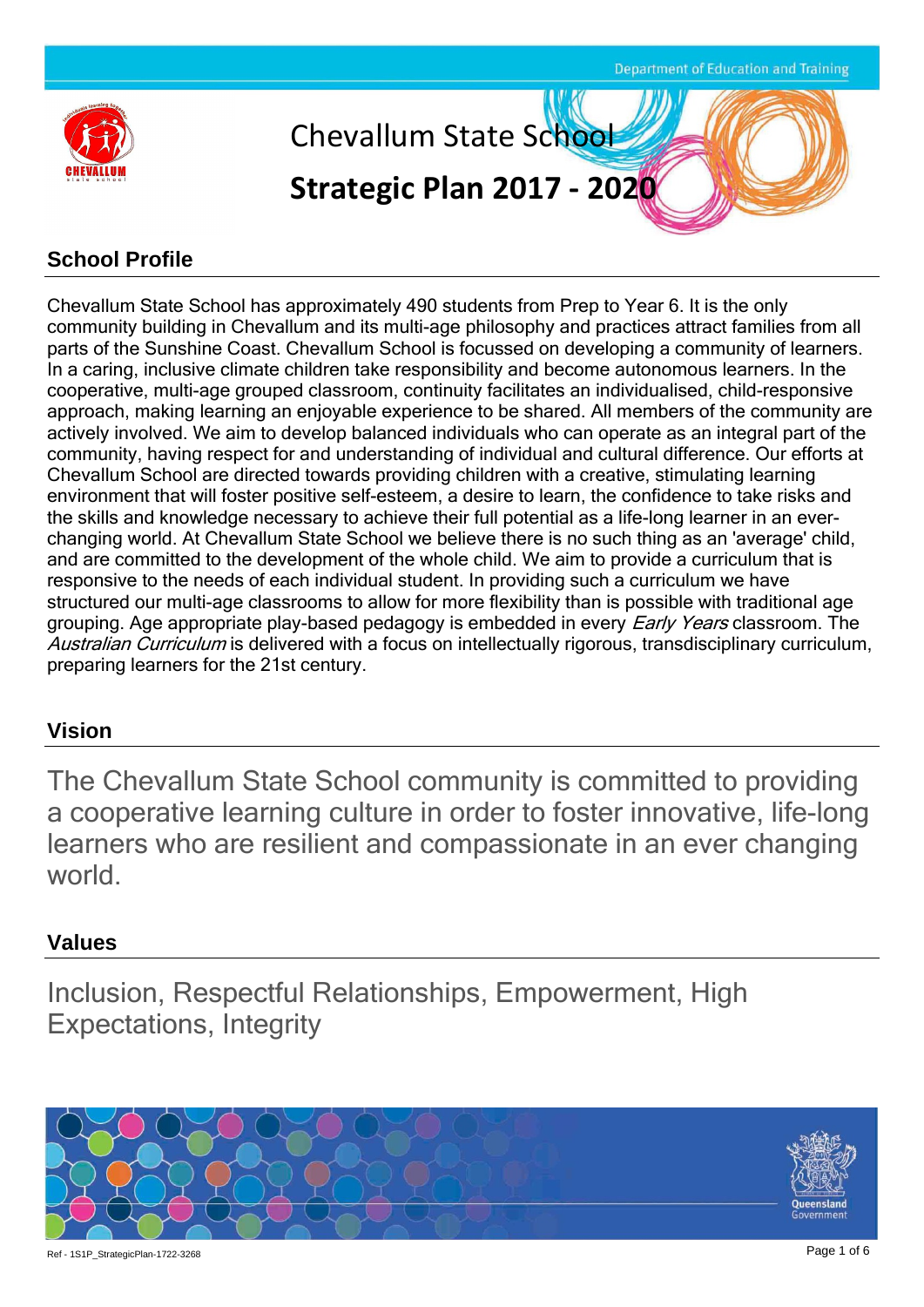

#### **School Profile**

Chevallum State School has approximately 490 students from Prep to Year 6. It is the only community building in Chevallum and its multi-age philosophy and practices attract families from all parts of the Sunshine Coast. Chevallum School is focussed on developing a community of learners. In a caring, inclusive climate children take responsibility and become autonomous learners. In the cooperative, multi-age grouped classroom, continuity facilitates an individualised, child-responsive approach, making learning an enjoyable experience to be shared. All members of the community are actively involved. We aim to develop balanced individuals who can operate as an integral part of the community, having respect for and understanding of individual and cultural difference. Our efforts at Chevallum School are directed towards providing children with a creative, stimulating learning environment that will foster positive self-esteem, a desire to learn, the confidence to take risks and the skills and knowledge necessary to achieve their full potential as a life-long learner in an everchanging world. At Chevallum State School we believe there is no such thing as an 'average' child, and are committed to the development of the whole child. We aim to provide a curriculum that is responsive to the needs of each individual student. In providing such a curriculum we have structured our multi-age classrooms to allow for more flexibility than is possible with traditional age grouping. Age appropriate play-based pedagogy is embedded in every *Early Years* classroom. The Australian Curriculum is delivered with a focus on intellectually rigorous, transdisciplinary curriculum, preparing learners for the 21st century.

#### **Vision**

The Chevallum State School community is committed to providing a cooperative learning culture in order to foster innovative, life-long learners who are resilient and compassionate in an ever changing world.

#### **Values**

Inclusion, Respectful Relationships, Empowerment, High Expectations, Integrity

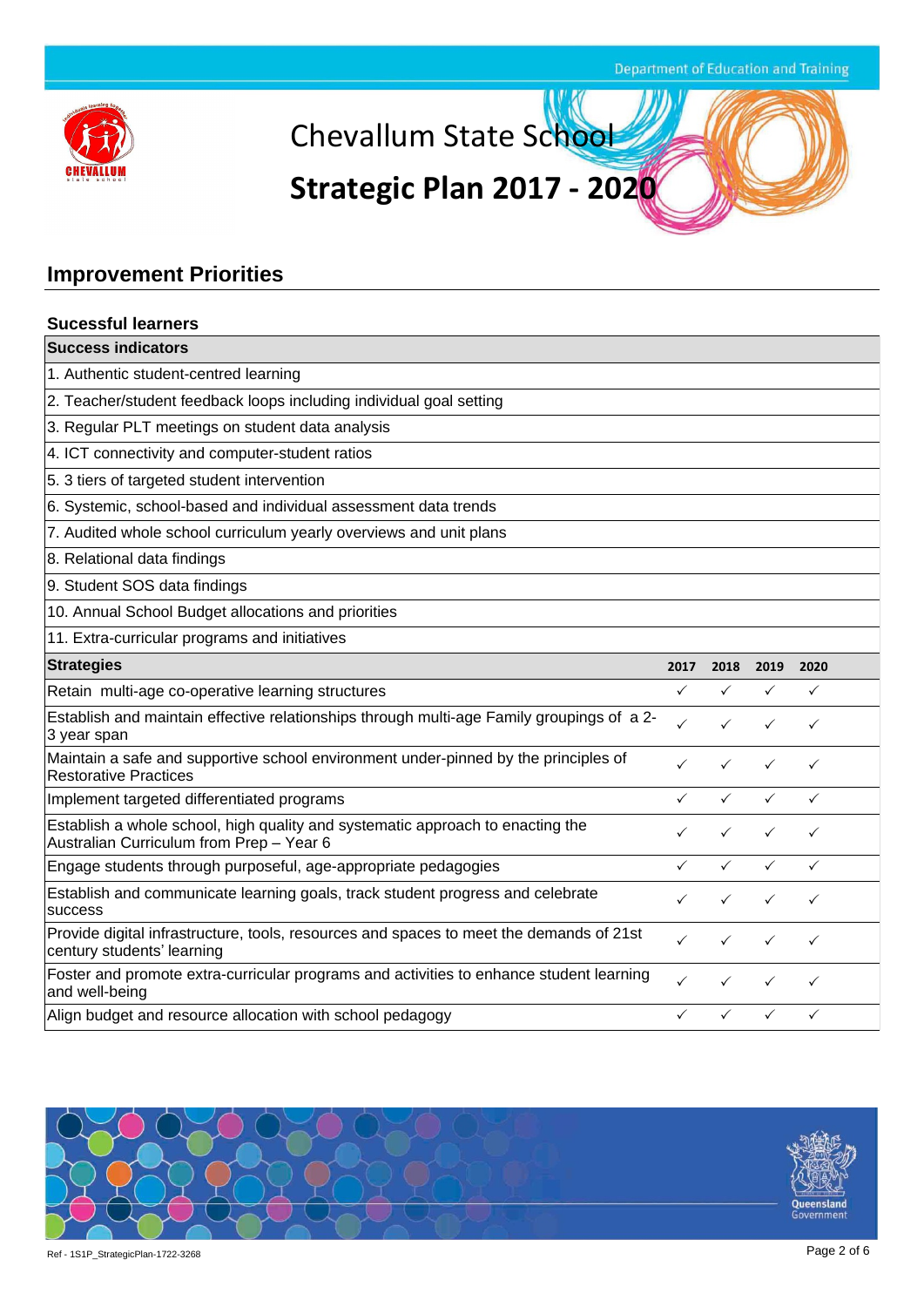

**VK** Chevallum State School

# **Strategic Plan 2017 - 2020**

### **Improvement Priorities**

| <b>Sucessful learners</b>                                                                                                  |              |              |              |              |  |
|----------------------------------------------------------------------------------------------------------------------------|--------------|--------------|--------------|--------------|--|
| <b>Success indicators</b>                                                                                                  |              |              |              |              |  |
| 1. Authentic student-centred learning                                                                                      |              |              |              |              |  |
| 2. Teacher/student feedback loops including individual goal setting                                                        |              |              |              |              |  |
| 3. Regular PLT meetings on student data analysis                                                                           |              |              |              |              |  |
| 4. ICT connectivity and computer-student ratios                                                                            |              |              |              |              |  |
| 5. 3 tiers of targeted student intervention                                                                                |              |              |              |              |  |
| 6. Systemic, school-based and individual assessment data trends                                                            |              |              |              |              |  |
| 7. Audited whole school curriculum yearly overviews and unit plans                                                         |              |              |              |              |  |
| 8. Relational data findings                                                                                                |              |              |              |              |  |
| 9. Student SOS data findings                                                                                               |              |              |              |              |  |
| 10. Annual School Budget allocations and priorities                                                                        |              |              |              |              |  |
| 11. Extra-curricular programs and initiatives                                                                              |              |              |              |              |  |
| <b>Strategies</b>                                                                                                          | 2017         | 2018         | 2019         | 2020         |  |
| Retain multi-age co-operative learning structures                                                                          | $\checkmark$ | ✓            | ✓            | ✓            |  |
| Establish and maintain effective relationships through multi-age Family groupings of a 2-<br>3 year span                   | ✓            | ✓            | ✓            | $\checkmark$ |  |
| Maintain a safe and supportive school environment under-pinned by the principles of<br><b>Restorative Practices</b>        | ✓            | ✓            | $\checkmark$ | ✓            |  |
| Implement targeted differentiated programs                                                                                 | ✓            | $\checkmark$ | $\checkmark$ | $\checkmark$ |  |
| Establish a whole school, high quality and systematic approach to enacting the<br>Australian Curriculum from Prep - Year 6 | ✓            | ✓            | $\checkmark$ | $\checkmark$ |  |
| Engage students through purposeful, age-appropriate pedagogies                                                             | ✓            | $\checkmark$ | $\checkmark$ | ✓            |  |
| Establish and communicate learning goals, track student progress and celebrate<br>success                                  |              |              |              |              |  |
| Provide digital infrastructure, tools, resources and spaces to meet the demands of 21st<br>century students' learning      |              |              | ✓            |              |  |
| Foster and promote extra-curricular programs and activities to enhance student learning<br>and well-being                  | ✓            | ✓            | $\checkmark$ | ✓            |  |
| Align budget and resource allocation with school pedagogy                                                                  | ✓            | $\checkmark$ | $\checkmark$ | $\checkmark$ |  |

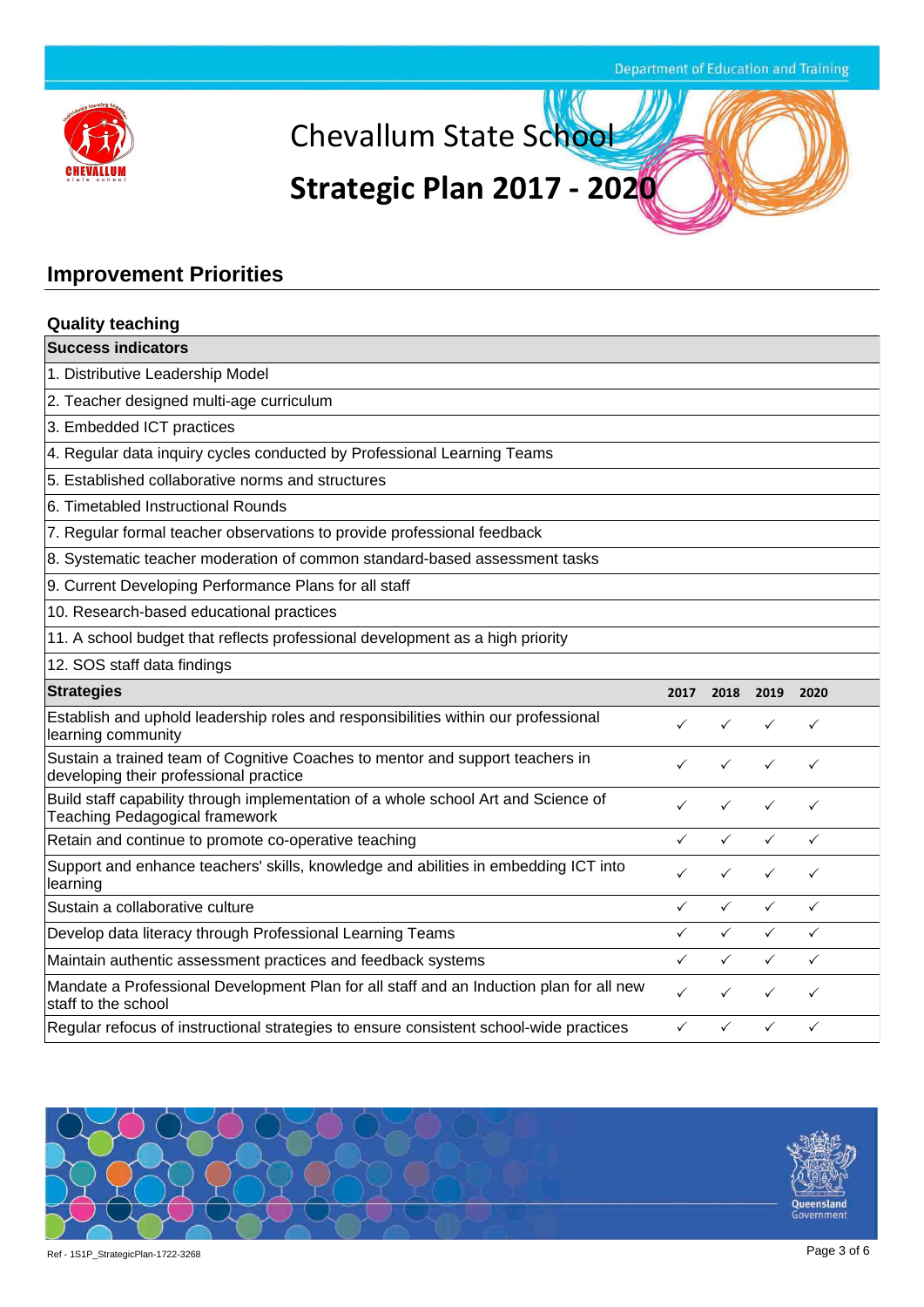

**VK** Chevallum State School

# **Strategic Plan 2017 - 2020**

### **Improvement Priorities**

| <b>Quality teaching</b>                                                                                                     |              |              |              |              |  |  |
|-----------------------------------------------------------------------------------------------------------------------------|--------------|--------------|--------------|--------------|--|--|
| <b>Success indicators</b>                                                                                                   |              |              |              |              |  |  |
| 1. Distributive Leadership Model                                                                                            |              |              |              |              |  |  |
| 2. Teacher designed multi-age curriculum                                                                                    |              |              |              |              |  |  |
| 3. Embedded ICT practices                                                                                                   |              |              |              |              |  |  |
| 4. Regular data inquiry cycles conducted by Professional Learning Teams                                                     |              |              |              |              |  |  |
| 5. Established collaborative norms and structures                                                                           |              |              |              |              |  |  |
| 6. Timetabled Instructional Rounds                                                                                          |              |              |              |              |  |  |
| 7. Regular formal teacher observations to provide professional feedback                                                     |              |              |              |              |  |  |
| 8. Systematic teacher moderation of common standard-based assessment tasks                                                  |              |              |              |              |  |  |
| 9. Current Developing Performance Plans for all staff                                                                       |              |              |              |              |  |  |
| 10. Research-based educational practices                                                                                    |              |              |              |              |  |  |
| 11. A school budget that reflects professional development as a high priority                                               |              |              |              |              |  |  |
| 12. SOS staff data findings                                                                                                 |              |              |              |              |  |  |
| <b>Strategies</b>                                                                                                           | 2017         | 2018         | 2019         | 2020         |  |  |
| Establish and uphold leadership roles and responsibilities within our professional<br>learning community                    | ✓            | ✓            | ✓            | ✓            |  |  |
| Sustain a trained team of Cognitive Coaches to mentor and support teachers in<br>developing their professional practice     | ✓            | ✓            | $\checkmark$ | $\checkmark$ |  |  |
| Build staff capability through implementation of a whole school Art and Science of<br><b>Teaching Pedagogical framework</b> | ✓            | ✓            | $\checkmark$ | ✓            |  |  |
| Retain and continue to promote co-operative teaching                                                                        | ✓            | ✓            | $\checkmark$ | $\checkmark$ |  |  |
| Support and enhance teachers' skills, knowledge and abilities in embedding ICT into                                         |              |              |              | ✓            |  |  |
| learning                                                                                                                    | ✓            | ✓            | ✓            |              |  |  |
| Sustain a collaborative culture                                                                                             | $\checkmark$ | $\checkmark$ | $\checkmark$ | $\checkmark$ |  |  |
| Develop data literacy through Professional Learning Teams                                                                   | $\checkmark$ | $\checkmark$ | $\checkmark$ | $\checkmark$ |  |  |
| Maintain authentic assessment practices and feedback systems                                                                | $\checkmark$ | ✓            | ✓            | $\checkmark$ |  |  |
| Mandate a Professional Development Plan for all staff and an Induction plan for all new<br>staff to the school              | ✓            | ✓            | ✓            | $\checkmark$ |  |  |

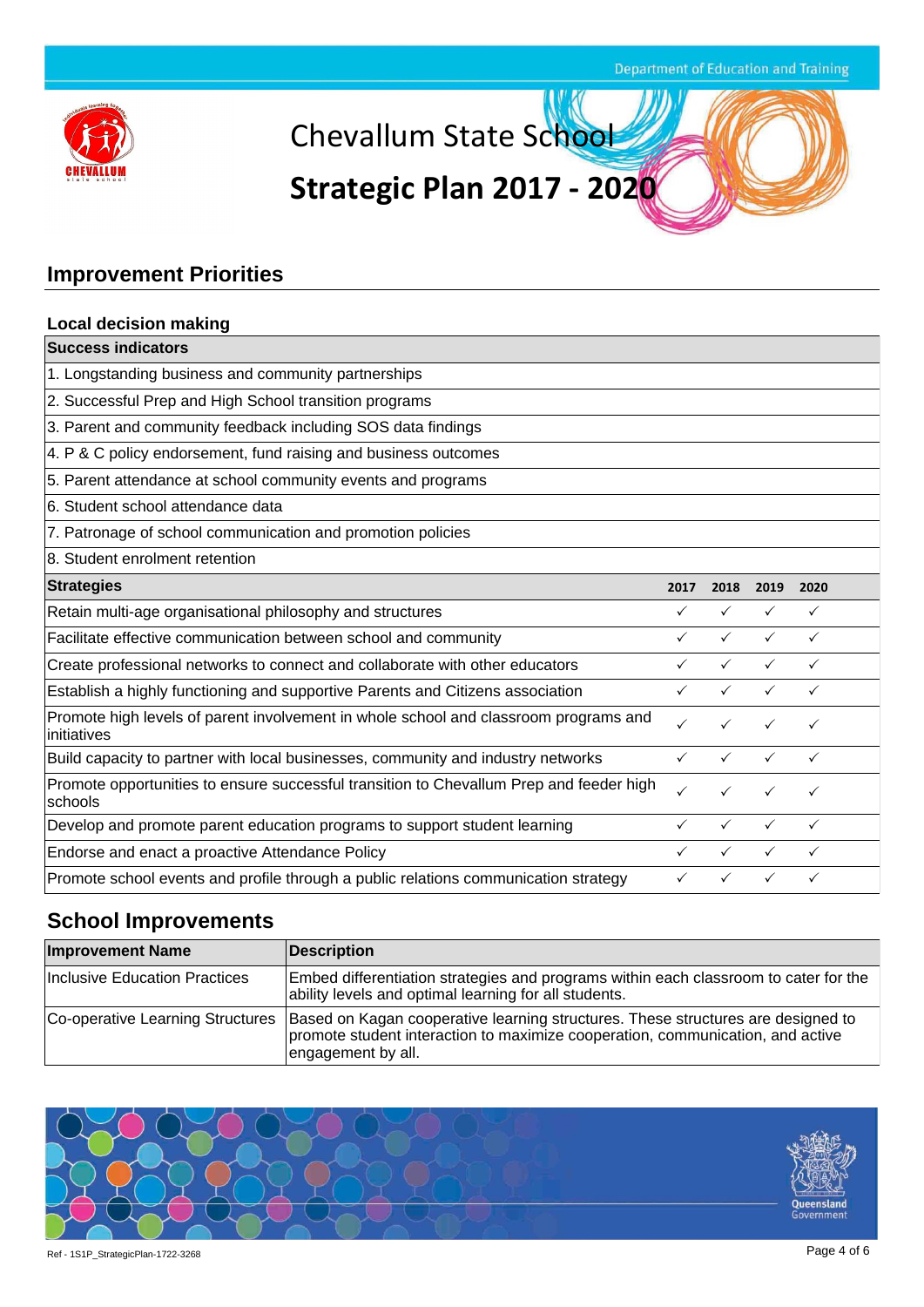

Chevallum State School

# **Strategic Plan 2017 - 2020**

### **Improvement Priorities**

| <b>Local decision making</b>                                                                        |              |              |              |              |
|-----------------------------------------------------------------------------------------------------|--------------|--------------|--------------|--------------|
| <b>Success indicators</b>                                                                           |              |              |              |              |
| 1. Longstanding business and community partnerships                                                 |              |              |              |              |
| 2. Successful Prep and High School transition programs                                              |              |              |              |              |
| 3. Parent and community feedback including SOS data findings                                        |              |              |              |              |
| 4. P & C policy endorsement, fund raising and business outcomes                                     |              |              |              |              |
| 5. Parent attendance at school community events and programs                                        |              |              |              |              |
| 6. Student school attendance data                                                                   |              |              |              |              |
| 7. Patronage of school communication and promotion policies                                         |              |              |              |              |
| 8. Student enrolment retention                                                                      |              |              |              |              |
| <b>Strategies</b>                                                                                   | 2017         | 2018         | 2019         | 2020         |
| Retain multi-age organisational philosophy and structures                                           | ✓            | $\checkmark$ | $\checkmark$ | $\checkmark$ |
| Facilitate effective communication between school and community                                     | ✓            | $\checkmark$ | $\checkmark$ | $\checkmark$ |
| Create professional networks to connect and collaborate with other educators                        |              |              | ✓            | $\checkmark$ |
| Establish a highly functioning and supportive Parents and Citizens association                      | $\checkmark$ | $\checkmark$ | $\checkmark$ | $\checkmark$ |
| Promote high levels of parent involvement in whole school and classroom programs and<br>initiatives |              |              |              |              |
| Build capacity to partner with local businesses, community and industry networks                    |              |              |              | ✓            |
| Promote opportunities to ensure successful transition to Chevallum Prep and feeder high<br>schools  | $\checkmark$ |              |              | ✓            |
| Develop and promote parent education programs to support student learning                           | ✓            | ✓            | $\checkmark$ | $\checkmark$ |
| Endorse and enact a proactive Attendance Policy                                                     |              |              |              | ✓            |
| Promote school events and profile through a public relations communication strategy                 | ✓            | $\checkmark$ |              | ✓            |

### **School Improvements**

| <b>Improvement Name</b>       | Description                                                                                                                                                                                                                |
|-------------------------------|----------------------------------------------------------------------------------------------------------------------------------------------------------------------------------------------------------------------------|
| Inclusive Education Practices | Embed differentiation strategies and programs within each classroom to cater for the<br>ability levels and optimal learning for all students.                                                                              |
|                               | Co-operative Learning Structures  Based on Kagan cooperative learning structures. These structures are designed to<br>promote student interaction to maximize cooperation, communication, and active<br>engagement by all. |

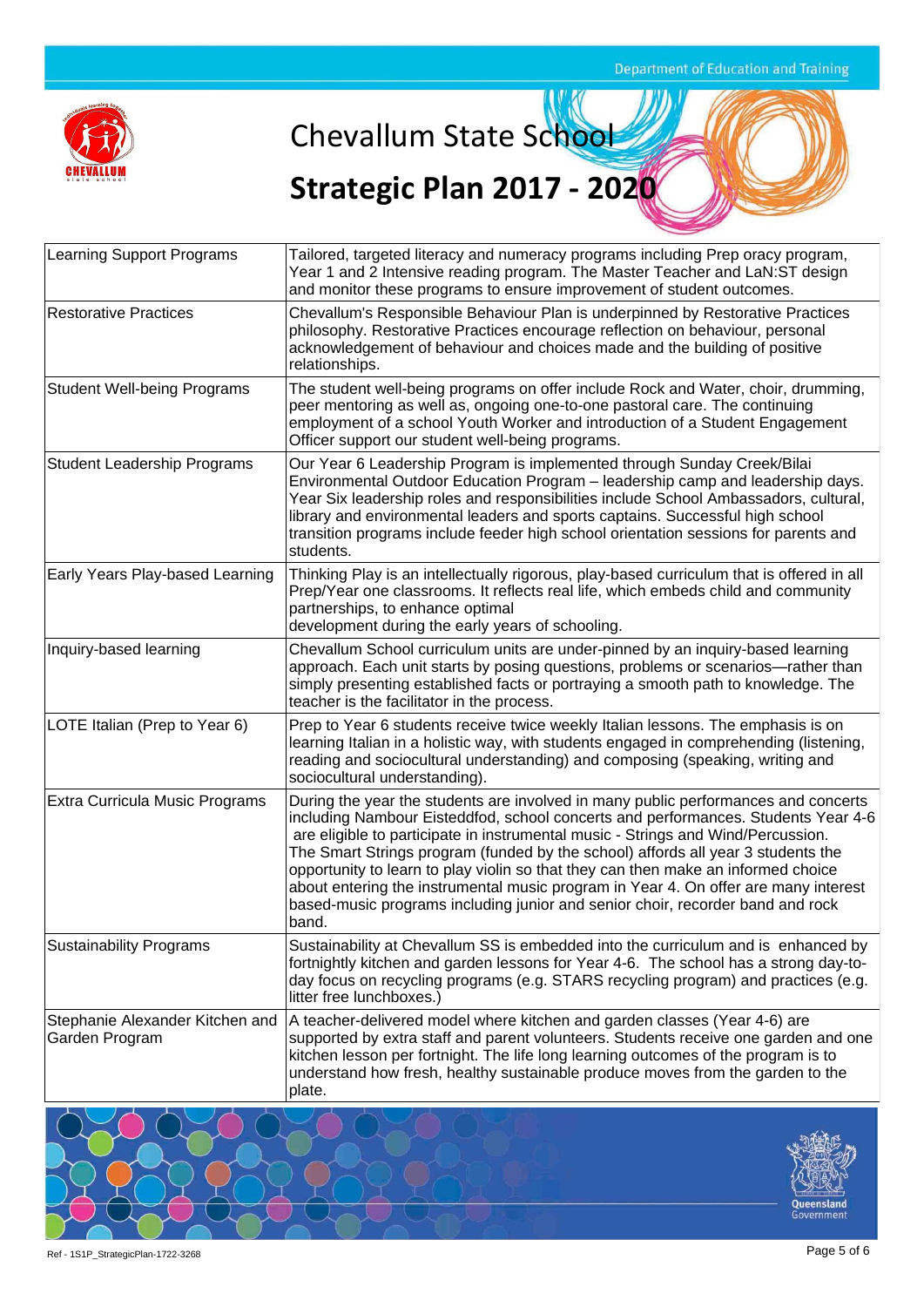

**V'K** Chevallum State School

## **Strategic Plan 2017 - 2020**

| <b>Learning Support Programs</b>                  | Tailored, targeted literacy and numeracy programs including Prep oracy program,<br>Year 1 and 2 Intensive reading program. The Master Teacher and LaN:ST design<br>and monitor these programs to ensure improvement of student outcomes.                                                                                                                                                                                                                                                                                                                                                                               |
|---------------------------------------------------|------------------------------------------------------------------------------------------------------------------------------------------------------------------------------------------------------------------------------------------------------------------------------------------------------------------------------------------------------------------------------------------------------------------------------------------------------------------------------------------------------------------------------------------------------------------------------------------------------------------------|
| <b>Restorative Practices</b>                      | Chevallum's Responsible Behaviour Plan is underpinned by Restorative Practices<br>philosophy. Restorative Practices encourage reflection on behaviour, personal<br>acknowledgement of behaviour and choices made and the building of positive<br>relationships.                                                                                                                                                                                                                                                                                                                                                        |
| <b>Student Well-being Programs</b>                | The student well-being programs on offer include Rock and Water, choir, drumming,<br>peer mentoring as well as, ongoing one-to-one pastoral care. The continuing<br>employment of a school Youth Worker and introduction of a Student Engagement<br>Officer support our student well-being programs.                                                                                                                                                                                                                                                                                                                   |
| <b>Student Leadership Programs</b>                | Our Year 6 Leadership Program is implemented through Sunday Creek/Bilai<br>Environmental Outdoor Education Program - leadership camp and leadership days.<br>Year Six leadership roles and responsibilities include School Ambassadors, cultural,<br>library and environmental leaders and sports captains. Successful high school<br>transition programs include feeder high school orientation sessions for parents and<br>students.                                                                                                                                                                                 |
| Early Years Play-based Learning                   | Thinking Play is an intellectually rigorous, play-based curriculum that is offered in all<br>Prep/Year one classrooms. It reflects real life, which embeds child and community<br>partnerships, to enhance optimal<br>development during the early years of schooling.                                                                                                                                                                                                                                                                                                                                                 |
| Inquiry-based learning                            | Chevallum School curriculum units are under-pinned by an inquiry-based learning<br>approach. Each unit starts by posing questions, problems or scenarios—rather than<br>simply presenting established facts or portraying a smooth path to knowledge. The<br>teacher is the facilitator in the process.                                                                                                                                                                                                                                                                                                                |
| LOTE Italian (Prep to Year 6)                     | Prep to Year 6 students receive twice weekly Italian lessons. The emphasis is on<br>learning Italian in a holistic way, with students engaged in comprehending (listening,<br>reading and sociocultural understanding) and composing (speaking, writing and<br>sociocultural understanding).                                                                                                                                                                                                                                                                                                                           |
| <b>Extra Curricula Music Programs</b>             | During the year the students are involved in many public performances and concerts<br>including Nambour Eisteddfod, school concerts and performances. Students Year 4-6<br>are eligible to participate in instrumental music - Strings and Wind/Percussion.<br>The Smart Strings program (funded by the school) affords all year 3 students the<br>opportunity to learn to play violin so that they can then make an informed choice<br>about entering the instrumental music program in Year 4. On offer are many interest<br>based-music programs including junior and senior choir, recorder band and rock<br>band. |
| <b>Sustainability Programs</b>                    | Sustainability at Chevallum SS is embedded into the curriculum and is enhanced by<br>fortnightly kitchen and garden lessons for Year 4-6. The school has a strong day-to-<br>day focus on recycling programs (e.g. STARS recycling program) and practices (e.g.<br>litter free lunchboxes.)                                                                                                                                                                                                                                                                                                                            |
| Stephanie Alexander Kitchen and<br>Garden Program | A teacher-delivered model where kitchen and garden classes (Year 4-6) are<br>supported by extra staff and parent volunteers. Students receive one garden and one<br>kitchen lesson per fortnight. The life long learning outcomes of the program is to<br>understand how fresh, healthy sustainable produce moves from the garden to the<br>plate.                                                                                                                                                                                                                                                                     |

Queensland<br>Government